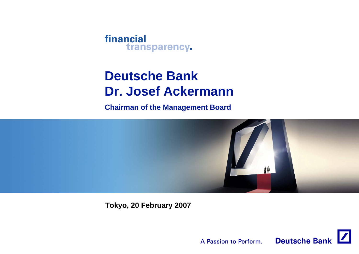# **Deutsche BankDr. Josef Ackermann**

**Chairman of the Management Board**



**Tokyo, 20 February 2007**

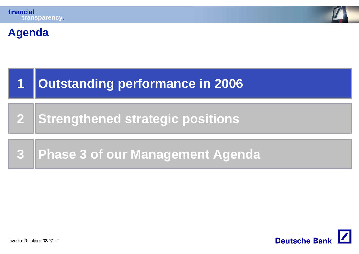

#### **Agenda**



**2Strengthened strategic positions**

**3Phase 3 of our Management Agenda**

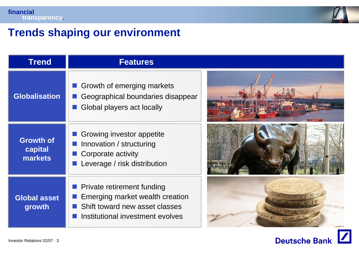

#### **Trends shaping our environment**

| <b>Trend</b>                           | <b>Features</b>                                                                                                                     |  |
|----------------------------------------|-------------------------------------------------------------------------------------------------------------------------------------|--|
| <b>Globalisation</b>                   | Growth of emerging markets<br>Geographical boundaries disappear<br>Global players act locally                                       |  |
| <b>Growth of</b><br>capital<br>markets | Growing investor appetite<br>Innovation / structuring<br>Corporate activity<br>Leverage / risk distribution                         |  |
| <b>Global asset</b><br>growth          | Private retirement funding<br>Emerging market wealth creation<br>Shift toward new asset classes<br>Institutional investment evolves |  |

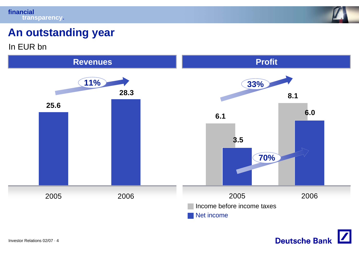

# **An outstanding year**

In EUR bn



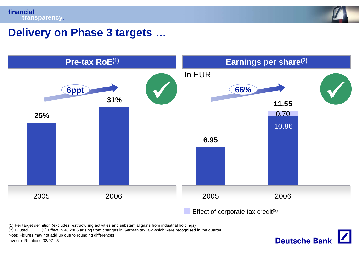

**Deutsche Bank** 

#### **Delivery on Phase 3 targets …**



(1) Per target definition (excludes restructuring activities and substantial gains from industrial holdings)

(3) Effect in 4Q2006 arising from changes in German tax law which were recognised in the quarter

Note: Figures may not add up due to rounding differences

Investor Relations 02/07 · 5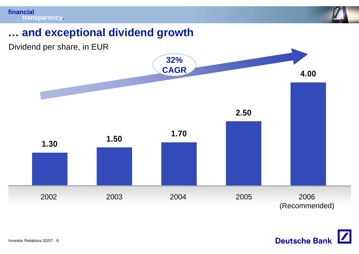

## **… and exceptional dividend growth**



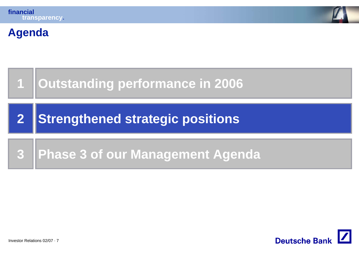

#### **Agenda**



**2Strengthened strategic positions**

#### **3Phase 3 of our Management Agenda**

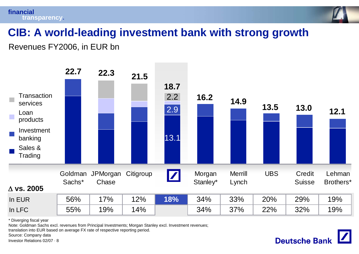

# **CIB: A world-leading investment bank with strong growth**

Revenues FY2006, in EUR bn

| <b>Transaction</b><br>services<br>Loan<br>products<br>Investment<br>banking<br>Sales &<br>Trading | 22.7              | 22.3              | 21.5      | 18.7<br>2.2<br>2.9<br>13.1 | 16.2               | 14.9                    | 13.5       | 13.0                    | 12.1                |
|---------------------------------------------------------------------------------------------------|-------------------|-------------------|-----------|----------------------------|--------------------|-------------------------|------------|-------------------------|---------------------|
| $\Delta$ vs. 2005                                                                                 | Goldman<br>Sachs* | JPMorgan<br>Chase | Citigroup | $\boxed{\mathbf{Z}}$       | Morgan<br>Stanley* | <b>Merrill</b><br>Lynch | <b>UBS</b> | Credit<br><b>Suisse</b> | Lehman<br>Brothers* |
| In EUR                                                                                            | 56%               | 17%               | 12%       | 18%                        | 34%                | 33%                     | 20%        | 29%                     | 19%                 |
| In LFC                                                                                            | 55%               | 19%               | 14%       |                            | 34%                | 37%                     | 22%        | 32%                     | 19%                 |

\* Diverging fiscal year

Note: Goldman Sachs excl. revenues from Principal Investments; Morgan Stanley excl. Investment revenues;

translation into EUR based on average FX rate of respective reporting period.

Source: Company data

Investor Relations 02/07 · 8

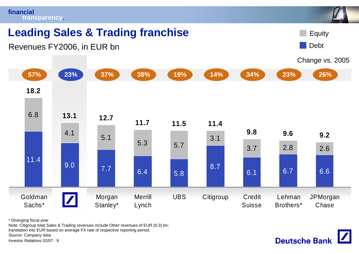

\* Diverging fiscal year

Note: Citigroup total Sales & Trading revenues include Other revenues of EUR (0.3) bn; translation into EUR based on average FX rate of respective reporting period. Source: Company data

Investor Relations 02/07 · 9

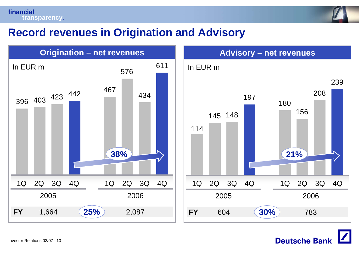**financialtransparency.**



#### **Record revenues in Origination and Advisory**





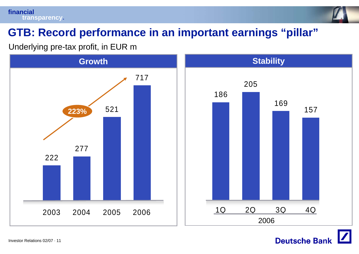

# **GTB: Record performance in an important earnings "pillar"**

Underlying pre-tax profit, in EUR m



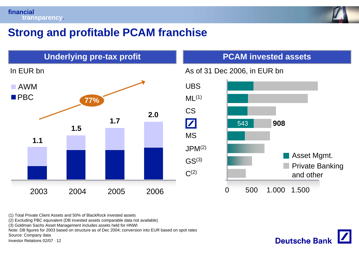

## **Strong and profitable PCAM franchise**



(1) Total Private Client Assets and 50% of BlackRock invested assets

(2) Excluding PBC equivalent (DB invested assets comparable data not available)

(3) Goldman Sachs Asset Management includes assets held for HNWI

Note: DB figures for 2003 based on structure as of Dec 2004; conversion into EUR based on spot rates

Source: Company data

Investor Relations 02/07 · 12

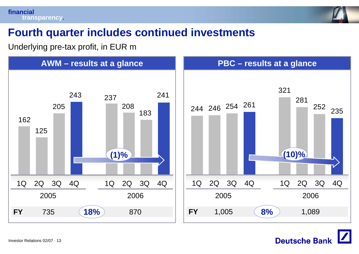

## **Fourth quarter includes continued investments**

Underlying pre-tax profit, in EUR m

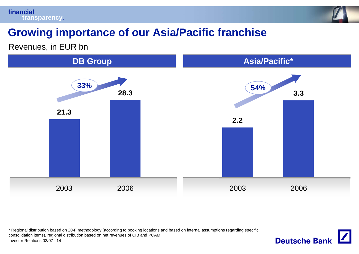



## **Growing importance of our Asia/Pacific franchise**

Revenues, in EUR bn



Investor Relations 02/07 · 14\* Regional distribution based on 20-F methodology (according to booking locations and based on internal assumptions regarding specific consolidation items), regional distribution based on net revenues of CIB and PCAM

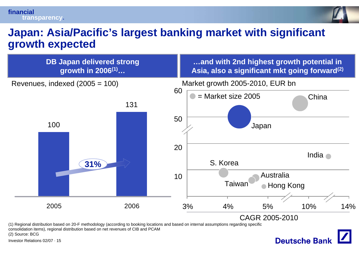

#### **Japan: Asia/Pacific's largest banking market with significant growth expected**

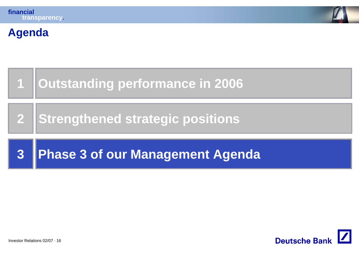

#### **Agenda**



**2Strengthened strategic positions**

#### **3Phase 3 of our Management Agenda**

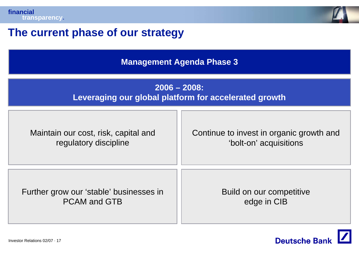



## **The current phase of our strategy**

**Management Agenda Phase 3**

#### **2006 – 2008: Leveraging our global platform for accelerated growth**

| Maintain our cost, risk, capital and    | Continue to invest in organic growth and |
|-----------------------------------------|------------------------------------------|
| regulatory discipline                   | 'bolt-on' acquisitions                   |
| Further grow our 'stable' businesses in | Build on our competitive                 |
| <b>PCAM and GTB</b>                     | edge in CIB                              |

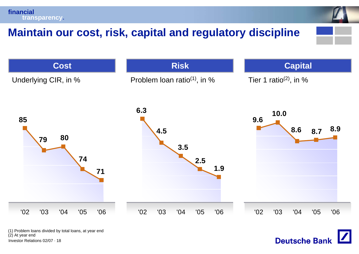# **Maintain our cost, risk, capital and regulatory discipline**



Investor Relations 02/07 · 18(1) Problem loans divided by total loans, at year end (2) At year end

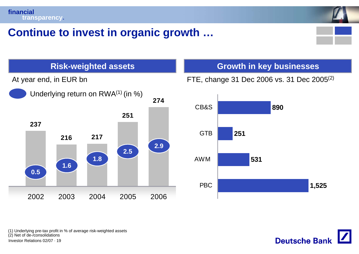



## **Continue to invest in organic growth …**





FTE, change 31 Dec 2006 vs. 31 Dec 2005(2)



Investor Relations 02/07 · 19(1) Underlying pre-tax profit in % of average risk-weighted assets (2) Net of de-/consolidations

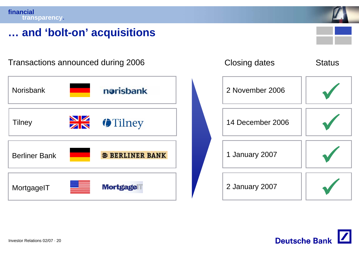

#### **… and 'bolt-on' acquisitions**

norisbank NorisbankTilney **14 December 2006** Berliner Bank**B BERLINER BANK MortgageIT Mortgage** 



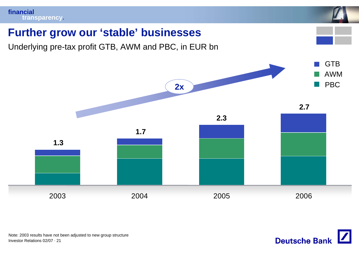

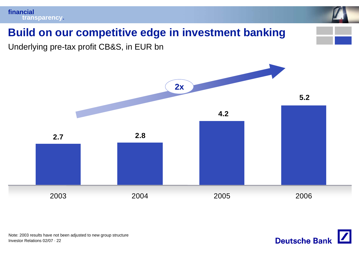

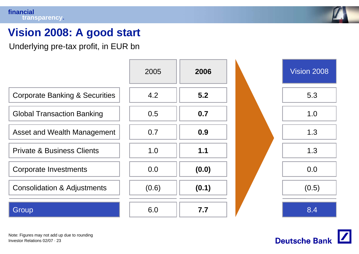

# **Vision 2008: A good start**

Underlying pre-tax profit, in EUR bn





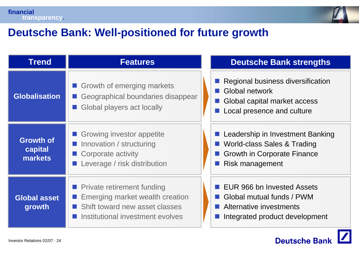



# **Deutsche Bank: Well-positioned for future growth**

| <b>Trend</b>                           | <b>Features</b>                                                                                                                            | <b>Deutsche Bank strengths</b>                                                                                           |
|----------------------------------------|--------------------------------------------------------------------------------------------------------------------------------------------|--------------------------------------------------------------------------------------------------------------------------|
| Globalisation                          | Growth of emerging markets<br>Geographical boundaries disappear<br>Global players act locally                                              | Regional business diversification<br>Global network<br>Global capital market access<br>Local presence and culture        |
| <b>Growth of</b><br>capital<br>markets | Growing investor appetite<br>Innovation / structuring<br>■ Corporate activity<br>Leverage / risk distribution                              | Leadership in Investment Banking<br>World-class Sales & Trading<br><b>Growth in Corporate Finance</b><br>Risk management |
| <b>Global asset</b><br>growth          | <b>Private retirement funding</b><br>Emerging market wealth creation<br>Shift toward new asset classes<br>Institutional investment evolves | EUR 966 bn Invested Assets<br>Global mutual funds / PWM<br>Alternative investments<br>Integrated product development     |